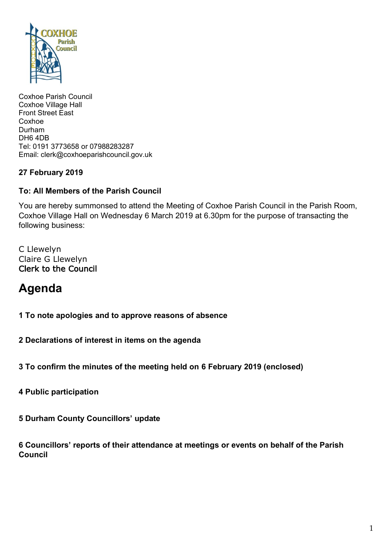

Coxhoe Parish Council Coxhoe Village Hall Front Street East Coxhoe Durham DH6 4DB Tel: 0191 3773658 or 07988283287 Email: clerk@coxhoeparishcouncil.gov.uk

# **27 February 2019**

#### **To: All Members of the Parish Council**

You are hereby summonsed to attend the Meeting of Coxhoe Parish Council in the Parish Room, Coxhoe Village Hall on Wednesday 6 March 2019 at 6.30pm for the purpose of transacting the following business:

C Llewelyn Claire G Llewelyn Clerk to the Council

# **Agenda**

**1 To note apologies and to approve reasons of absence**

**2 Declarations of interest in items on the agenda**

**3 To confirm the minutes of the meeting held on 6 February 2019 (enclosed)**

**4 Public participation**

**5 Durham County Councillors' update**

**6 Councillors' reports of their attendance at meetings or events on behalf of the Parish Council**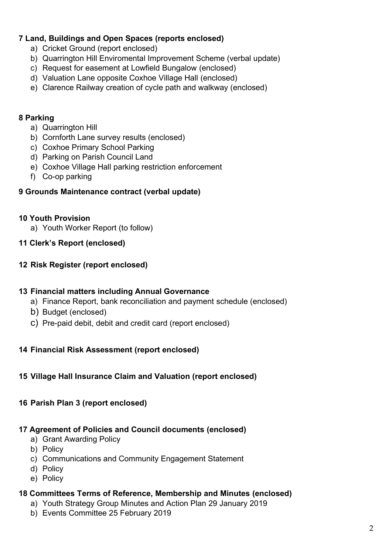# **7 Land, Buildings and Open Spaces (reports enclosed)**

- a) Cricket Ground (report enclosed)
- b) Quarrington Hill Enviromental Improvement Scheme (verbal update)
- c) Request for easement at Lowfield Bungalow (enclosed)
- d) Valuation Lane opposite Coxhoe Village Hall (enclosed)
- e) Clarence Railway creation of cycle path and walkway (enclosed)

## **8 Parking**

- a) Quarrington Hill
- b) Cornforth Lane survey results (enclosed)
- c) Coxhoe Primary School Parking
- d) Parking on Parish Council Land
- e) Coxhoe Village Hall parking restriction enforcement
- f) Co-op parking

## **9 Grounds Maintenance contract (verbal update)**

## **10 Youth Provision**

- a) Youth Worker Report (to follow)
- **11 Clerk's Report (enclosed)**

## **12 Risk Register (report enclosed)**

#### **13 Financial matters including Annual Governance**

- a) Finance Report, bank reconciliation and payment schedule (enclosed)
- b) Budget (enclosed)
- c) Pre-paid debit, debit and credit card (report enclosed)

#### **14 Financial Risk Assessment (report enclosed)**

#### **15 Village Hall Insurance Claim and Valuation (report enclosed)**

#### **16 Parish Plan 3 (report enclosed)**

#### **17 Agreement of Policies and Council documents (enclosed)**

- a) Grant Awarding Policy
- b) Policy
- c) Communications and Community Engagement Statement
- d) Policy
- e) Policy

# **18 Committees Terms of Reference, Membership and Minutes (enclosed)**

- a) Youth Strategy Group Minutes and Action Plan 29 January 2019
- b) Events Committee 25 February 2019